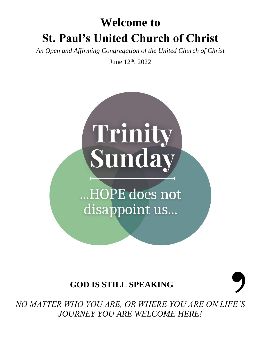# **Welcome to St. Paul's United Church of Christ**

*An Open and Affirming Congregation of the United Church of Christ*

June 12<sup>th</sup>, 2022



...HOPE does not disappoint us...

# **GOD IS STILL SPEAKING**

*NO MATTER WHO YOU ARE, OR WHERE YOU ARE ON LIFE'S JOURNEY YOU ARE WELCOME HERE!*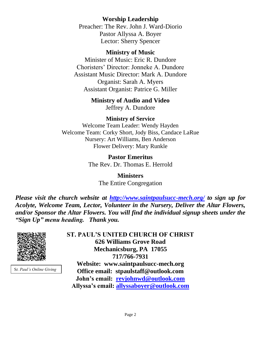### **Worship Leadership**

Preacher: The Rev. John J. Ward-Diorio Pastor Allyssa A. Boyer Lector: Sherry Spencer

### **Ministry of Music**

Minister of Music: Eric R. Dundore Choristers' Director: Jonneke A. Dundore Assistant Music Director: Mark A. Dundore Organist: Sarah A. Myers Assistant Organist: Patrice G. Miller

# **Ministry of Audio and Video**

Jeffrey A. Dundore

### **Ministry of Service**

Welcome Team Leader: Wendy Hayden Welcome Team: Corky Short, Jody Biss, Candace LaRue Nursery: Art Williams, Ben Anderson Flower Delivery: Mary Runkle

> **Pastor Emeritus** The Rev. Dr. Thomas E. Herrold

> > **Ministers** The Entire Congregation

*Please visit the church website at <http://www.saintpaulsucc-mech.org/> to sign up for Acolyte, Welcome Team, Lector, Volunteer in the Nursery, Deliver the Altar Flowers, and/or Sponsor the Altar Flowers. You will find the individual signup sheets under the "Sign Up" menu heading. Thank you.*



S*t. Paul's Online Giving*

**ST. PAUL'S UNITED CHURCH OF CHRIST 626 Williams Grove Road Mechanicsburg, PA 17055 717/766-7931 Website: www.saintpaulsucc-mech.org Office email: stpaulstaff@outlook.com John's email: [revjohnwd@outlook.com](mailto:revjohnwd@outlook.com) Allyssa's email: [allyssaboyer@outlook.com](mailto:allyssaboyer@outlook.com)**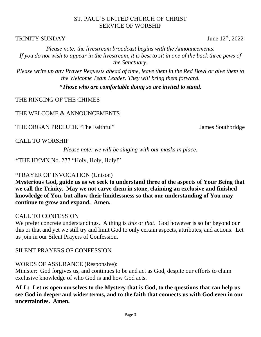### ST. PAUL'S UNITED CHURCH OF CHRIST SERVICE OF WORSHIP

### TRINITY SUNDAY June  $12^{\text{th}}$ ,  $2022$

*Please note: the livestream broadcast begins with the Announcements. If you do not wish to appear in the livestream, it is best to sit in one of the back three pews of the Sanctuary.*

*Please write up any Prayer Requests ahead of time, leave them in the Red Bowl or give them to the Welcome Team Leader. They will bring them forward.*

*\*Those who are comfortable doing so are invited to stand.*

THE RINGING OF THE CHIMES

THE WELCOME & ANNOUNCEMENTS

THE ORGAN PRELUDE "The Faithful" James Southbridge

CALL TO WORSHIP

*Please note: we will be singing with our masks in place.*

\*THE HYMN No. 277 "Holy, Holy, Holy!"

# \*PRAYER OF INVOCATION (Unison)

**Mysterious God, guide us as we seek to understand three of the aspects of Your Being that we call the Trinity. May we not carve them in stone, claiming an exclusive and finished knowledge of You, but allow their limitlessness so that our understanding of You may continue to grow and expand. Amen.** 

### CALL TO CONFESSION

We prefer concrete understandings. A thing is *this* or *that*. God however is so far beyond our this or that and yet we still try and limit God to only certain aspects, attributes, and actions. Let us join in our Silent Prayers of Confession.

SILENT PRAYERS OF CONFESSION

# WORDS OF ASSURANCE (Responsive):

Minister: God forgives us, and continues to be and act as God, despite our efforts to claim exclusive knowledge of who God is and how God acts.

**ALL: Let us open ourselves to the Mystery that is God, to the questions that can help us see God in deeper and wider terms, and to the faith that connects us with God even in our uncertainties. Amen.**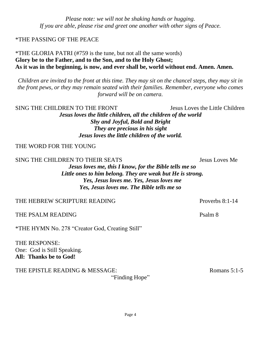*Please note: we will not be shaking hands or hugging. If you are able, please rise and greet one another with other signs of Peace.*

### \*THE PASSING OF THE PEACE

### \*THE GLORIA PATRI (#759 is the tune, but not all the same words) **Glory be to the Father, and to the Son, and to the Holy Ghost; As it was in the beginning, is now, and ever shall be, world without end. Amen. Amen.**

*Children are invited to the front at this time. They may sit on the chancel steps, they may sit in the front pews, or they may remain seated with their families. Remember, everyone who comes forward will be on camera.* 

SING THE CHILDREN TO THE FRONT SINGLES USES Jesus Loves the Little Children *Jesus loves the little children, all the children of the world Shy and Joyful, Bold and Bright They are precious in his sight Jesus loves the little children of the world.*

THE WORD FOR THE YOUNG

SING THE CHILDREN TO THEIR SEATS FOR THE SEATS FOR THE LOVES Me

*Jesus loves me, this I know, for the Bible tells me so Little ones to him belong. They are weak but He is strong. Yes, Jesus loves me. Yes, Jesus loves me Yes, Jesus loves me. The Bible tells me so*

THE HEBREW SCRIPTURE READING THE THE PROVERS 8:1-14

THE PSALM READING PSALM READING

\*THE HYMN No. 278 "Creator God, Creating Still"

THE RESPONSE: One: God is Still Speaking. **All: Thanks be to God!** 

THE EPISTLE READING & MESSAGE: Romans 5:1-5

"Finding Hope"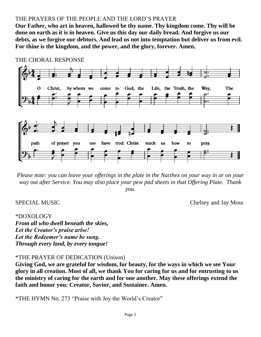### THE PRAYERS OF THE PEOPLE AND THE LORD'S PRAYER

**Our Father, who art in heaven, hallowed be thy name. Thy kingdom come. Thy will be done on earth as it is in heaven. Give us this day our daily bread. And forgive us our debts, as we forgive our debtors. And lead us not into temptation but deliver us from evil. For thine is the kingdom, and the power, and the glory, forever. Amen.**



THE CHORAL RESPONSE

*Please note: you can leave your offerings in the plate in the Narthex on your way in or on your way out after Service. You may also place your pew pad sheets in that Offering Plate. Thank you.* 

SPECIAL MUSIC Chelsey and Jay Moss

### \*DOXOLOGY

*From all who dwell beneath the skies, Let the Creator's praise arise! Let the Redeemer's name be sung. Through every land, by every tongue!*

### \*THE PRAYER OF DEDICATION (Unison)

**Giving God, we are grateful for wisdom, for beauty, for the ways in which we see Your glory in all creation. Most of all, we thank You for caring for us and for entrusting to us the ministry of caring for the earth and for one another. May these offerings extend the faith and honor you: Creator, Savior, and Sustainer. Amen.** 

\*THE HYMN No. 273 "Praise with Joy the World's Creator"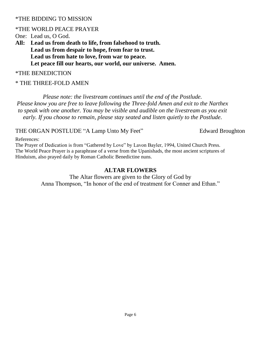### \*THE BIDDING TO MISSION

### \*THE WORLD PEACE PRAYER

One: Lead us, O God.

**All: Lead us from death to life, from falsehood to truth. Lead us from despair to hope, from fear to trust. Lead us from hate to love, from war to peace. Let peace fill our hearts, our world, our universe. Amen.**

### \*THE BENEDICTION

### \* THE THREE-FOLD AMEN

*Please note: the livestream continues until the end of the Postlude. Please know you are free to leave following the Three-fold Amen and exit to the Narthex to speak with one another. You may be visible and audible on the livestream as you exit early. If you choose to remain, please stay seated and listen quietly to the Postlude.*

### THE ORGAN POSTLUDE "A Lamp Unto My Feet" Edward Broughton

References:

The Prayer of Dedication is from "Gathered by Love" by Lavon Bayler, 1994, United Church Press. The World Peace Prayer is a paraphrase of a verse from the Upanishads, the most ancient scriptures of Hinduism, also prayed daily by Roman Catholic Benedictine nuns.

### **ALTAR FLOWERS**

The Altar flowers are given to the Glory of God by Anna Thompson, "In honor of the end of treatment for Conner and Ethan."